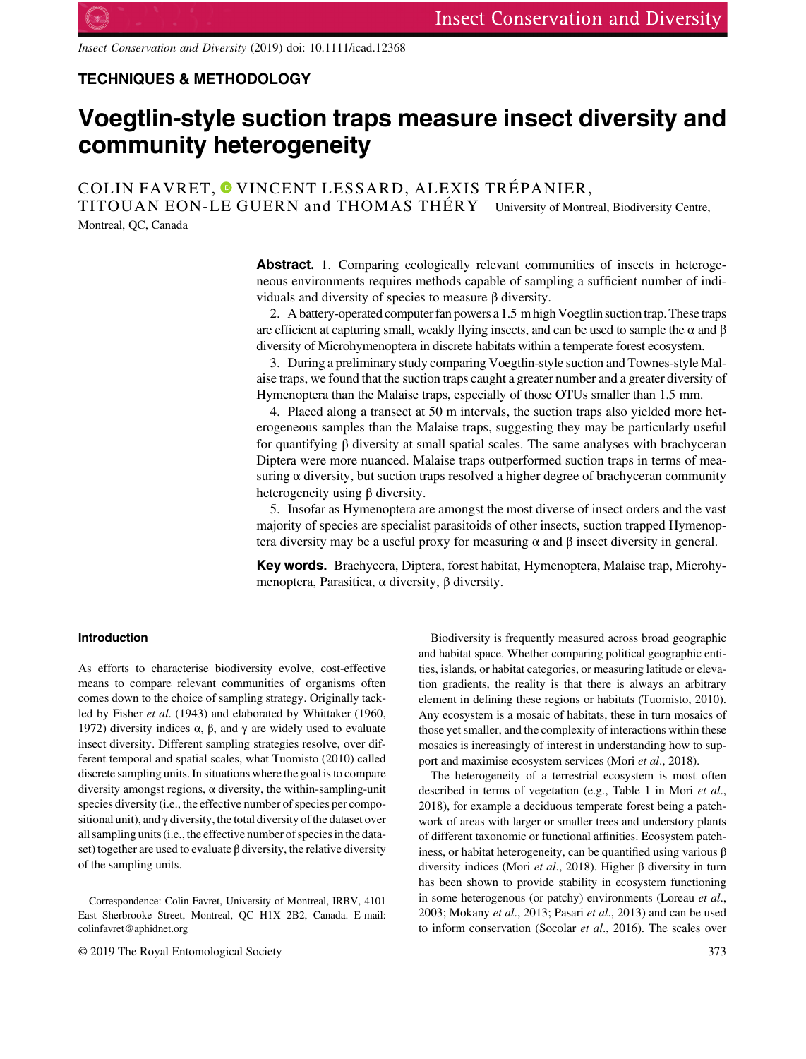Insect Conservation and Diversity (2019) doi: 10.1111/icad.12368

## TECHNIQUES & METHODOLOGY

# Voegtlin-style suction traps measure insect diversity and community heterogeneity

COLIN FAVRET[,](https://orcid.org/0000-0001-6243-3184) <sup>O</sup> VINCENT LESSARD, ALEXIS TRÉPANIER, TITOUAN EON-LE GUERN and THOMAS THÉRY University of Montreal, Biodiversity Centre,

Montreal, QC, Canada

Abstract. 1. Comparing ecologically relevant communities of insects in heterogeneous environments requires methods capable of sampling a sufficient number of individuals and diversity of species to measure β diversity.

2. A battery-operated computer fan powers a 1.5 m high Voegtlin suctiontrap. These traps are efficient at capturing small, weakly flying insects, and can be used to sample the  $\alpha$  and  $\beta$ diversity of Microhymenoptera in discrete habitats within a temperate forest ecosystem.

3. During a preliminary study comparing Voegtlin-style suction and Townes-style Malaise traps, we found that the suction traps caught a greater number and a greater diversity of Hymenoptera than the Malaise traps, especially of those OTUs smaller than 1.5 mm.

4. Placed along a transect at 50 m intervals, the suction traps also yielded more heterogeneous samples than the Malaise traps, suggesting they may be particularly useful for quantifying β diversity at small spatial scales. The same analyses with brachyceran Diptera were more nuanced. Malaise traps outperformed suction traps in terms of measuring  $\alpha$  diversity, but suction traps resolved a higher degree of brachyceran community heterogeneity using β diversity.

5. Insofar as Hymenoptera are amongst the most diverse of insect orders and the vast majority of species are specialist parasitoids of other insects, suction trapped Hymenoptera diversity may be a useful proxy for measuring  $\alpha$  and  $\beta$  insect diversity in general.

Key words. Brachycera, Diptera, forest habitat, Hymenoptera, Malaise trap, Microhymenoptera, Parasitica, α diversity, β diversity.

## Introduction

As efforts to characterise biodiversity evolve, cost-effective means to compare relevant communities of organisms often comes down to the choice of sampling strategy. Originally tackled by Fisher et al. (1943) and elaborated by Whittaker (1960, 1972) diversity indices  $\alpha$ ,  $\beta$ , and  $\gamma$  are widely used to evaluate insect diversity. Different sampling strategies resolve, over different temporal and spatial scales, what Tuomisto (2010) called discrete sampling units. In situations where the goal is to compare diversity amongst regions,  $\alpha$  diversity, the within-sampling-unit species diversity (i.e., the effective number of species per compositional unit), and  $\gamma$  diversity, the total diversity of the dataset over all sampling units (i.e., the effective number of species in the dataset) together are used to evaluate  $\beta$  diversity, the relative diversity of the sampling units.

© 2019 The Royal Entomological Society 373

Biodiversity is frequently measured across broad geographic and habitat space. Whether comparing political geographic entities, islands, or habitat categories, or measuring latitude or elevation gradients, the reality is that there is always an arbitrary element in defining these regions or habitats (Tuomisto, 2010). Any ecosystem is a mosaic of habitats, these in turn mosaics of those yet smaller, and the complexity of interactions within these mosaics is increasingly of interest in understanding how to support and maximise ecosystem services (Mori et al., 2018).

The heterogeneity of a terrestrial ecosystem is most often described in terms of vegetation (e.g., Table 1 in Mori et al., 2018), for example a deciduous temperate forest being a patchwork of areas with larger or smaller trees and understory plants of different taxonomic or functional affinities. Ecosystem patchiness, or habitat heterogeneity, can be quantified using various β diversity indices (Mori et al., 2018). Higher β diversity in turn has been shown to provide stability in ecosystem functioning in some heterogenous (or patchy) environments (Loreau et al., 2003; Mokany et al., 2013; Pasari et al., 2013) and can be used to inform conservation (Socolar et al., 2016). The scales over

Correspondence: Colin Favret, University of Montreal, IRBV, 4101 East Sherbrooke Street, Montreal, QC H1X 2B2, Canada. E-mail: [colinfavret@aphidnet.org](mailto:colinfavret@aphidnet.org)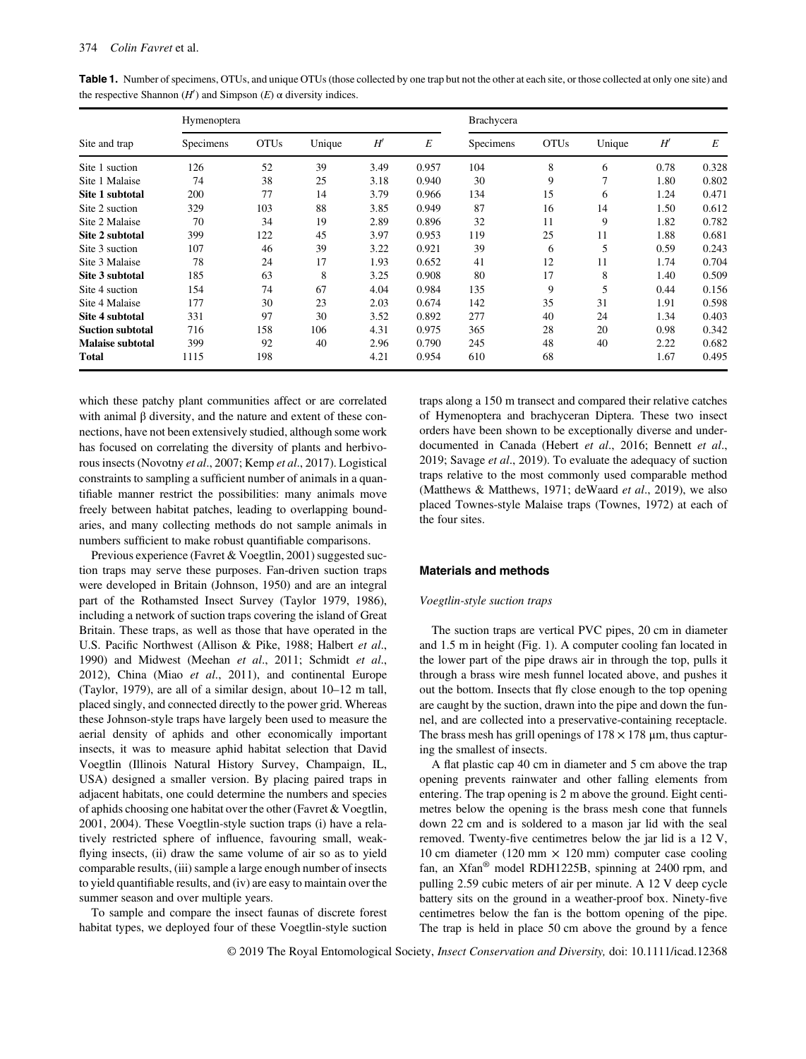|                         | Hymenoptera |             |        |      |       | <b>Brachycera</b> |             |        |      |       |  |
|-------------------------|-------------|-------------|--------|------|-------|-------------------|-------------|--------|------|-------|--|
| Site and trap           | Specimens   | <b>OTUs</b> | Unique | H'   | E     | Specimens         | <b>OTUs</b> | Unique | H'   | E     |  |
| Site 1 suction          | 126         | 52          | 39     | 3.49 | 0.957 | 104               | 8           | 6      | 0.78 | 0.328 |  |
| Site 1 Malaise          | 74          | 38          | 25     | 3.18 | 0.940 | 30                | 9           | 7      | 1.80 | 0.802 |  |
| Site 1 subtotal         | 200         | 77          | 14     | 3.79 | 0.966 | 134               | 15          | 6      | 1.24 | 0.471 |  |
| Site 2 suction          | 329         | 103         | 88     | 3.85 | 0.949 | 87                | 16          | 14     | 1.50 | 0.612 |  |
| Site 2 Malaise          | 70          | 34          | 19     | 2.89 | 0.896 | 32                | 11          | 9      | 1.82 | 0.782 |  |
| Site 2 subtotal         | 399         | 122         | 45     | 3.97 | 0.953 | 119               | 25          | 11     | 1.88 | 0.681 |  |
| Site 3 suction          | 107         | 46          | 39     | 3.22 | 0.921 | 39                | 6           | 5      | 0.59 | 0.243 |  |
| Site 3 Malaise          | 78          | 24          | 17     | 1.93 | 0.652 | 41                | 12          | 11     | 1.74 | 0.704 |  |
| Site 3 subtotal         | 185         | 63          | 8      | 3.25 | 0.908 | 80                | 17          | 8      | 1.40 | 0.509 |  |
| Site 4 suction          | 154         | 74          | 67     | 4.04 | 0.984 | 135               | 9           | 5      | 0.44 | 0.156 |  |
| Site 4 Malaise          | 177         | 30          | 23     | 2.03 | 0.674 | 142               | 35          | 31     | 1.91 | 0.598 |  |
| Site 4 subtotal         | 331         | 97          | 30     | 3.52 | 0.892 | 277               | 40          | 24     | 1.34 | 0.403 |  |
| <b>Suction subtotal</b> | 716         | 158         | 106    | 4.31 | 0.975 | 365               | 28          | 20     | 0.98 | 0.342 |  |
| <b>Malaise subtotal</b> | 399         | 92          | 40     | 2.96 | 0.790 | 245               | 48          | 40     | 2.22 | 0.682 |  |
| Total                   | 1115        | 198         |        | 4.21 | 0.954 | 610               | 68          |        | 1.67 | 0.495 |  |

Table 1. Number of specimens, OTUs, and unique OTUs (those collected by one trap but not the other at each site, or those collected at only one site) and the respective Shannon  $(H')$  and Simpson  $(E)$   $\alpha$  diversity indices.

which these patchy plant communities affect or are correlated with animal β diversity, and the nature and extent of these connections, have not been extensively studied, although some work has focused on correlating the diversity of plants and herbivorous insects (Novotny et al., 2007; Kemp et al., 2017). Logistical constraints to sampling a sufficient number of animals in a quantifiable manner restrict the possibilities: many animals move freely between habitat patches, leading to overlapping boundaries, and many collecting methods do not sample animals in numbers sufficient to make robust quantifiable comparisons.

Previous experience (Favret & Voegtlin, 2001) suggested suction traps may serve these purposes. Fan-driven suction traps were developed in Britain (Johnson, 1950) and are an integral part of the Rothamsted Insect Survey (Taylor 1979, 1986), including a network of suction traps covering the island of Great Britain. These traps, as well as those that have operated in the U.S. Pacific Northwest (Allison & Pike, 1988; Halbert et al., 1990) and Midwest (Meehan et al., 2011; Schmidt et al., 2012), China (Miao et al., 2011), and continental Europe (Taylor, 1979), are all of a similar design, about 10–12 m tall, placed singly, and connected directly to the power grid. Whereas these Johnson-style traps have largely been used to measure the aerial density of aphids and other economically important insects, it was to measure aphid habitat selection that David Voegtlin (Illinois Natural History Survey, Champaign, IL, USA) designed a smaller version. By placing paired traps in adjacent habitats, one could determine the numbers and species of aphids choosing one habitat over the other (Favret & Voegtlin, 2001, 2004). These Voegtlin-style suction traps (i) have a relatively restricted sphere of influence, favouring small, weakflying insects, (ii) draw the same volume of air so as to yield comparable results, (iii) sample a large enough number of insects to yield quantifiable results, and (iv) are easy to maintain over the summer season and over multiple years.

To sample and compare the insect faunas of discrete forest habitat types, we deployed four of these Voegtlin-style suction

traps along a 150 m transect and compared their relative catches of Hymenoptera and brachyceran Diptera. These two insect orders have been shown to be exceptionally diverse and underdocumented in Canada (Hebert et al., 2016; Bennett et al., 2019; Savage et al., 2019). To evaluate the adequacy of suction traps relative to the most commonly used comparable method (Matthews & Matthews, 1971; deWaard et al., 2019), we also placed Townes-style Malaise traps (Townes, 1972) at each of the four sites.

## Materials and methods

#### Voegtlin-style suction traps

The suction traps are vertical PVC pipes, 20 cm in diameter and 1.5 m in height (Fig. 1). A computer cooling fan located in the lower part of the pipe draws air in through the top, pulls it through a brass wire mesh funnel located above, and pushes it out the bottom. Insects that fly close enough to the top opening are caught by the suction, drawn into the pipe and down the funnel, and are collected into a preservative-containing receptacle. The brass mesh has grill openings of  $178 \times 178$  µm, thus capturing the smallest of insects.

A flat plastic cap 40 cm in diameter and 5 cm above the trap opening prevents rainwater and other falling elements from entering. The trap opening is 2 m above the ground. Eight centimetres below the opening is the brass mesh cone that funnels down 22 cm and is soldered to a mason jar lid with the seal removed. Twenty-five centimetres below the jar lid is a 12 V, 10 cm diameter (120 mm  $\times$  120 mm) computer case cooling fan, an Xfan® model RDH1225B, spinning at 2400 rpm, and pulling 2.59 cubic meters of air per minute. A 12 V deep cycle battery sits on the ground in a weather-proof box. Ninety-five centimetres below the fan is the bottom opening of the pipe. The trap is held in place 50 cm above the ground by a fence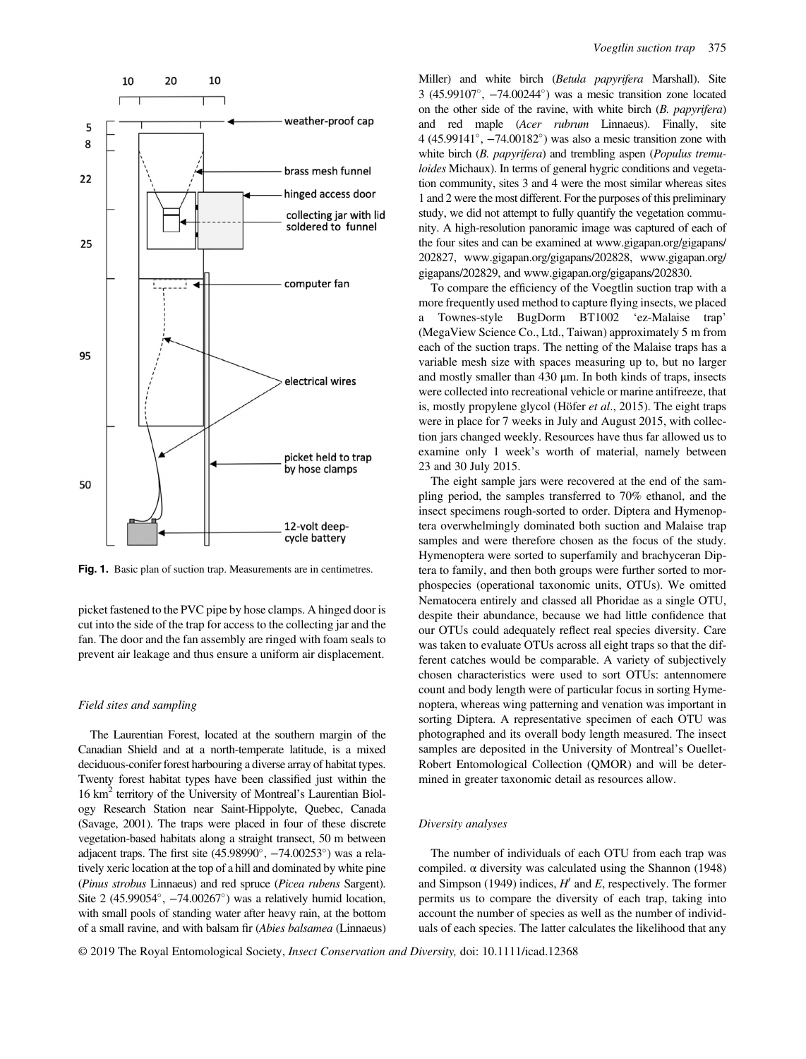

Fig. 1. Basic plan of suction trap. Measurements are in centimetres.

picket fastened to the PVC pipe by hose clamps. A hinged door is cut into the side of the trap for access to the collecting jar and the fan. The door and the fan assembly are ringed with foam seals to prevent air leakage and thus ensure a uniform air displacement.

#### Field sites and sampling

The Laurentian Forest, located at the southern margin of the Canadian Shield and at a north-temperate latitude, is a mixed deciduous-conifer forest harbouring a diverse array of habitat types. Twenty forest habitat types have been classified just within the 16 km2 territory of the University of Montreal's Laurentian Biology Research Station near Saint-Hippolyte, Quebec, Canada (Savage, 2001). The traps were placed in four of these discrete vegetation-based habitats along a straight transect, 50 m between adjacent traps. The first site  $(45.98990^{\circ}, -74.00253^{\circ})$  was a relatively xeric location at the top of a hill and dominated by white pine (Pinus strobus Linnaeus) and red spruce (Picea rubens Sargent). Site 2 (45.99054 $\degree$ ,  $-74.00267\degree$ ) was a relatively humid location, with small pools of standing water after heavy rain, at the bottom of a small ravine, and with balsam fir (Abies balsamea (Linnaeus) Miller) and white birch (Betula papyrifera Marshall). Site  $3(45.99107^{\circ}, -74.00244^{\circ})$  was a mesic transition zone located on the other side of the ravine, with white birch (B. papyrifera) and red maple (Acer rubrum Linnaeus). Finally, site  $4 (45.99141^{\circ}, -74.00182^{\circ})$  was also a mesic transition zone with white birch (B. papyrifera) and trembling aspen (Populus tremuloides Michaux). In terms of general hygric conditions and vegetation community, sites 3 and 4 were the most similar whereas sites 1 and 2 were the most different. For the purposes of this preliminary study, we did not attempt to fully quantify the vegetation community. A high-resolution panoramic image was captured of each of the four sites and can be examined at [www.gigapan.org/gigapans/](http://www.gigapan.org/gigapans/202827) [202827](http://www.gigapan.org/gigapans/202827), [www.gigapan.org/gigapans/202828](http://www.gigapan.org/gigapans/202828), [www.gigapan.org/](http://www.gigapan.org/gigapans/202829) [gigapans/202829,](http://www.gigapan.org/gigapans/202829) and [www.gigapan.org/gigapans/202830](http://www.gigapan.org/gigapans/202830).

To compare the efficiency of the Voegtlin suction trap with a more frequently used method to capture flying insects, we placed a Townes-style BugDorm BT1002 'ez-Malaise trap' (MegaView Science Co., Ltd., Taiwan) approximately 5 m from each of the suction traps. The netting of the Malaise traps has a variable mesh size with spaces measuring up to, but no larger and mostly smaller than 430 μm. In both kinds of traps, insects were collected into recreational vehicle or marine antifreeze, that is, mostly propylene glycol (Höfer et al., 2015). The eight traps were in place for 7 weeks in July and August 2015, with collection jars changed weekly. Resources have thus far allowed us to examine only 1 week's worth of material, namely between 23 and 30 July 2015.

The eight sample jars were recovered at the end of the sampling period, the samples transferred to 70% ethanol, and the insect specimens rough-sorted to order. Diptera and Hymenoptera overwhelmingly dominated both suction and Malaise trap samples and were therefore chosen as the focus of the study. Hymenoptera were sorted to superfamily and brachyceran Diptera to family, and then both groups were further sorted to morphospecies (operational taxonomic units, OTUs). We omitted Nematocera entirely and classed all Phoridae as a single OTU, despite their abundance, because we had little confidence that our OTUs could adequately reflect real species diversity. Care was taken to evaluate OTUs across all eight traps so that the different catches would be comparable. A variety of subjectively chosen characteristics were used to sort OTUs: antennomere count and body length were of particular focus in sorting Hymenoptera, whereas wing patterning and venation was important in sorting Diptera. A representative specimen of each OTU was photographed and its overall body length measured. The insect samples are deposited in the University of Montreal's Ouellet-Robert Entomological Collection (QMOR) and will be determined in greater taxonomic detail as resources allow.

#### Diversity analyses

The number of individuals of each OTU from each trap was compiled.  $\alpha$  diversity was calculated using the Shannon (1948) and Simpson (1949) indices,  $H'$  and E, respectively. The former permits us to compare the diversity of each trap, taking into account the number of species as well as the number of individuals of each species. The latter calculates the likelihood that any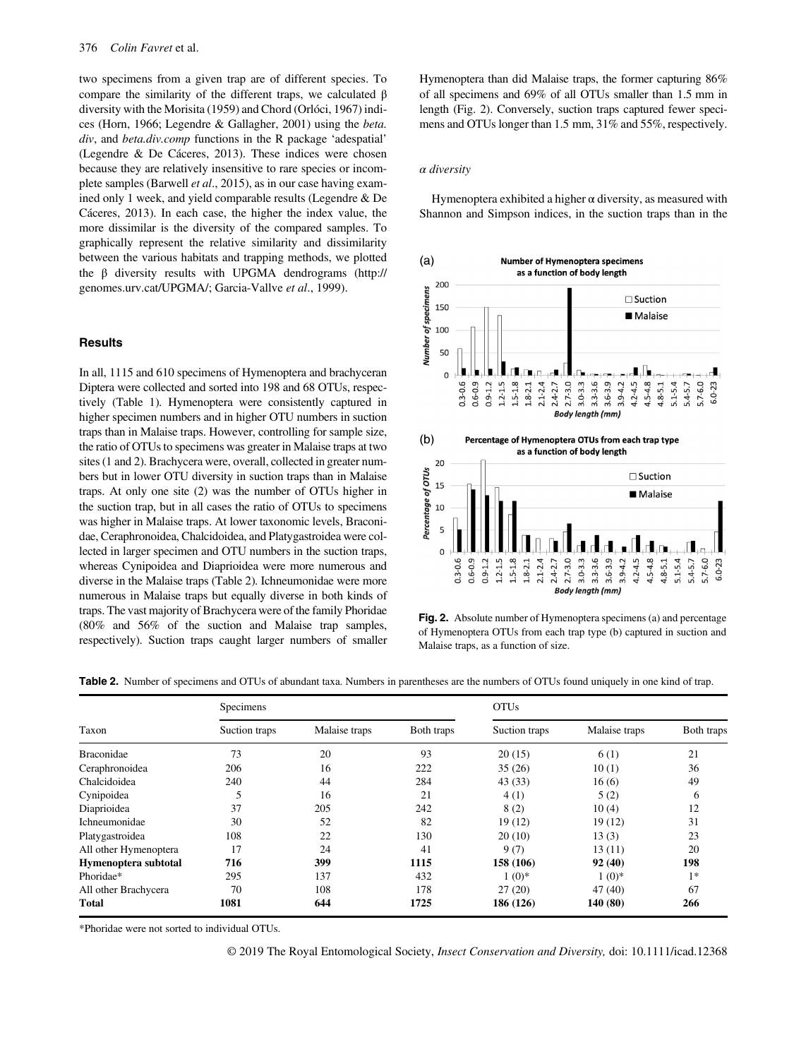two specimens from a given trap are of different species. To compare the similarity of the different traps, we calculated β diversity with the Morisita (1959) and Chord (Orlóci, 1967) indices (Horn, 1966; Legendre & Gallagher, 2001) using the beta. div, and *beta.div.comp* functions in the R package 'adespatial' (Legendre & De Cáceres, 2013). These indices were chosen because they are relatively insensitive to rare species or incomplete samples (Barwell et al., 2015), as in our case having examined only 1 week, and yield comparable results (Legendre & De Cáceres, 2013). In each case, the higher the index value, the more dissimilar is the diversity of the compared samples. To graphically represent the relative similarity and dissimilarity between the various habitats and trapping methods, we plotted the β diversity results with UPGMA dendrograms ([http://](http://genomes.urv.cat/UPGMA/;) [genomes.urv.cat/UPGMA/;](http://genomes.urv.cat/UPGMA/;) Garcia-Vallve et al., 1999).

## **Results**

In all, 1115 and 610 specimens of Hymenoptera and brachyceran Diptera were collected and sorted into 198 and 68 OTUs, respectively (Table 1). Hymenoptera were consistently captured in higher specimen numbers and in higher OTU numbers in suction traps than in Malaise traps. However, controlling for sample size, the ratio of OTUs to specimens was greater in Malaise traps at two sites (1 and 2). Brachycera were, overall, collected in greater numbers but in lower OTU diversity in suction traps than in Malaise traps. At only one site (2) was the number of OTUs higher in the suction trap, but in all cases the ratio of OTUs to specimens was higher in Malaise traps. At lower taxonomic levels, Braconidae, Ceraphronoidea, Chalcidoidea, and Platygastroidea were collected in larger specimen and OTU numbers in the suction traps, whereas Cynipoidea and Diaprioidea were more numerous and diverse in the Malaise traps (Table 2). Ichneumonidae were more numerous in Malaise traps but equally diverse in both kinds of traps. The vast majority of Brachycera were of the family Phoridae (80% and 56% of the suction and Malaise trap samples, respectively). Suction traps caught larger numbers of smaller Hymenoptera than did Malaise traps, the former capturing 86% of all specimens and 69% of all OTUs smaller than 1.5 mm in length (Fig. 2). Conversely, suction traps captured fewer specimens and OTUs longer than 1.5 mm, 31% and 55%, respectively.

#### α diversity

Hymenoptera exhibited a higher  $\alpha$  diversity, as measured with Shannon and Simpson indices, in the suction traps than in the



Fig. 2. Absolute number of Hymenoptera specimens (a) and percentage of Hymenoptera OTUs from each trap type (b) captured in suction and Malaise traps, as a function of size.

Table 2. Number of specimens and OTUs of abundant taxa. Numbers in parentheses are the numbers of OTUs found uniquely in one kind of trap.

|                       | Specimens     |               |            | <b>OTUs</b>   |               |            |  |  |
|-----------------------|---------------|---------------|------------|---------------|---------------|------------|--|--|
| Taxon                 | Suction traps | Malaise traps | Both traps | Suction traps | Malaise traps | Both traps |  |  |
| <b>Braconidae</b>     | 73            | 20            | 93         | 20(15)        | 6(1)          | 21         |  |  |
| Ceraphronoidea        | 206           | 16            | 222        | 35(26)        | 10(1)         | 36         |  |  |
| Chalcidoidea          | 240           | 44            | 284        | 43(33)        | 16(6)         | 49         |  |  |
| Cynipoidea            |               | 16            | 21         | 4(1)          | 5(2)          | 6          |  |  |
| Diaprioidea           | 37            | 205           | 242        | 8(2)          | 10(4)         | 12         |  |  |
| <b>Ichneumonidae</b>  | 30            | 52            | 82         | 19(12)        | 19(12)        | 31         |  |  |
| Platygastroidea       | 108           | 22            | 130        | 20(10)        | 13(3)         | 23         |  |  |
| All other Hymenoptera | 17            | 24            | 41         | 9(7)          | 13(11)        | 20         |  |  |
| Hymenoptera subtotal  | 716           | 399           | 1115       | 158 (106)     | 92(40)        | 198        |  |  |
| Phoridae*             | 295           | 137           | 432        | $1(0)*$       | $1(0)*$       | $1*$       |  |  |
| All other Brachycera  | 70            | 108           | 178        | 27(20)        | 47(40)        | 67         |  |  |
| <b>Total</b>          | 1081          | 644           | 1725       | 186 (126)     | 140 (80)      | 266        |  |  |

\*Phoridae were not sorted to individual OTUs.

© 2019 The Royal Entomological Society, Insect Conservation and Diversity, doi: 10.1111/icad.12368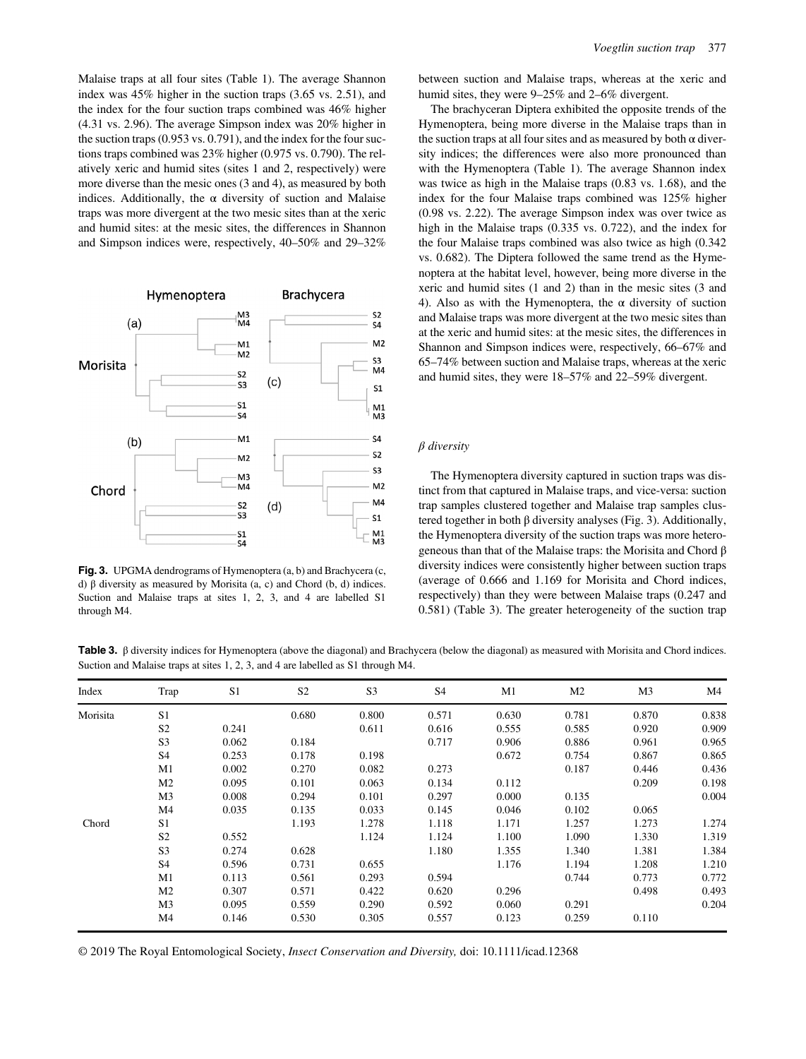Malaise traps at all four sites (Table 1). The average Shannon index was 45% higher in the suction traps (3.65 vs. 2.51), and the index for the four suction traps combined was 46% higher (4.31 vs. 2.96). The average Simpson index was 20% higher in the suction traps (0.953 vs. 0.791), and the index for the four suctions traps combined was 23% higher (0.975 vs. 0.790). The relatively xeric and humid sites (sites 1 and 2, respectively) were more diverse than the mesic ones (3 and 4), as measured by both indices. Additionally, the  $\alpha$  diversity of suction and Malaise traps was more divergent at the two mesic sites than at the xeric and humid sites: at the mesic sites, the differences in Shannon and Simpson indices were, respectively, 40–50% and 29–32%



Fig. 3. UPGMA dendrograms of Hymenoptera (a, b) and Brachycera (c, d) β diversity as measured by Morisita (a, c) and Chord (b, d) indices. Suction and Malaise traps at sites 1, 2, 3, and 4 are labelled S1 through M4.

between suction and Malaise traps, whereas at the xeric and humid sites, they were 9–25% and 2–6% divergent.

The brachyceran Diptera exhibited the opposite trends of the Hymenoptera, being more diverse in the Malaise traps than in the suction traps at all four sites and as measured by both  $\alpha$  diversity indices; the differences were also more pronounced than with the Hymenoptera (Table 1). The average Shannon index was twice as high in the Malaise traps (0.83 vs. 1.68), and the index for the four Malaise traps combined was 125% higher (0.98 vs. 2.22). The average Simpson index was over twice as high in the Malaise traps (0.335 vs. 0.722), and the index for the four Malaise traps combined was also twice as high (0.342 vs. 0.682). The Diptera followed the same trend as the Hymenoptera at the habitat level, however, being more diverse in the xeric and humid sites (1 and 2) than in the mesic sites (3 and 4). Also as with the Hymenoptera, the  $\alpha$  diversity of suction and Malaise traps was more divergent at the two mesic sites than at the xeric and humid sites: at the mesic sites, the differences in Shannon and Simpson indices were, respectively, 66–67% and 65–74% between suction and Malaise traps, whereas at the xeric and humid sites, they were 18–57% and 22–59% divergent.

### $\beta$  diversity

The Hymenoptera diversity captured in suction traps was distinct from that captured in Malaise traps, and vice-versa: suction trap samples clustered together and Malaise trap samples clustered together in both  $\beta$  diversity analyses (Fig. 3). Additionally, the Hymenoptera diversity of the suction traps was more heterogeneous than that of the Malaise traps: the Morisita and Chord β diversity indices were consistently higher between suction traps (average of 0.666 and 1.169 for Morisita and Chord indices, respectively) than they were between Malaise traps (0.247 and 0.581) (Table 3). The greater heterogeneity of the suction trap

**Table 3.** β diversity indices for Hymenoptera (above the diagonal) and Brachycera (below the diagonal) as measured with Morisita and Chord indices. Suction and Malaise traps at sites 1, 2, 3, and 4 are labelled as S1 through M4.

| Index    | Trap           | S <sub>1</sub> | S <sub>2</sub> | S <sub>3</sub> | S <sub>4</sub> | M1    | M <sub>2</sub> | M <sub>3</sub> | M4    |
|----------|----------------|----------------|----------------|----------------|----------------|-------|----------------|----------------|-------|
| Morisita | S <sub>1</sub> |                | 0.680          | 0.800          | 0.571          | 0.630 | 0.781          | 0.870          | 0.838 |
|          | S <sub>2</sub> | 0.241          |                | 0.611          | 0.616          | 0.555 | 0.585          | 0.920          | 0.909 |
|          | S <sub>3</sub> | 0.062          | 0.184          |                | 0.717          | 0.906 | 0.886          | 0.961          | 0.965 |
|          | S <sub>4</sub> | 0.253          | 0.178          | 0.198          |                | 0.672 | 0.754          | 0.867          | 0.865 |
|          | M1             | 0.002          | 0.270          | 0.082          | 0.273          |       | 0.187          | 0.446          | 0.436 |
|          | M <sub>2</sub> | 0.095          | 0.101          | 0.063          | 0.134          | 0.112 |                | 0.209          | 0.198 |
|          | M3             | 0.008          | 0.294          | 0.101          | 0.297          | 0.000 | 0.135          |                | 0.004 |
|          | M <sub>4</sub> | 0.035          | 0.135          | 0.033          | 0.145          | 0.046 | 0.102          | 0.065          |       |
| Chord    | S <sub>1</sub> |                | 1.193          | 1.278          | 1.118          | 1.171 | 1.257          | 1.273          | 1.274 |
|          | S <sub>2</sub> | 0.552          |                | 1.124          | 1.124          | 1.100 | 1.090          | 1.330          | 1.319 |
|          | S <sub>3</sub> | 0.274          | 0.628          |                | 1.180          | 1.355 | 1.340          | 1.381          | 1.384 |
|          | S <sub>4</sub> | 0.596          | 0.731          | 0.655          |                | 1.176 | 1.194          | 1.208          | 1.210 |
|          | M1             | 0.113          | 0.561          | 0.293          | 0.594          |       | 0.744          | 0.773          | 0.772 |
|          | M <sub>2</sub> | 0.307          | 0.571          | 0.422          | 0.620          | 0.296 |                | 0.498          | 0.493 |
|          | M <sub>3</sub> | 0.095          | 0.559          | 0.290          | 0.592          | 0.060 | 0.291          |                | 0.204 |
|          | M <sub>4</sub> | 0.146          | 0.530          | 0.305          | 0.557          | 0.123 | 0.259          | 0.110          |       |

© 2019 The Royal Entomological Society, Insect Conservation and Diversity, doi: 10.1111/icad.12368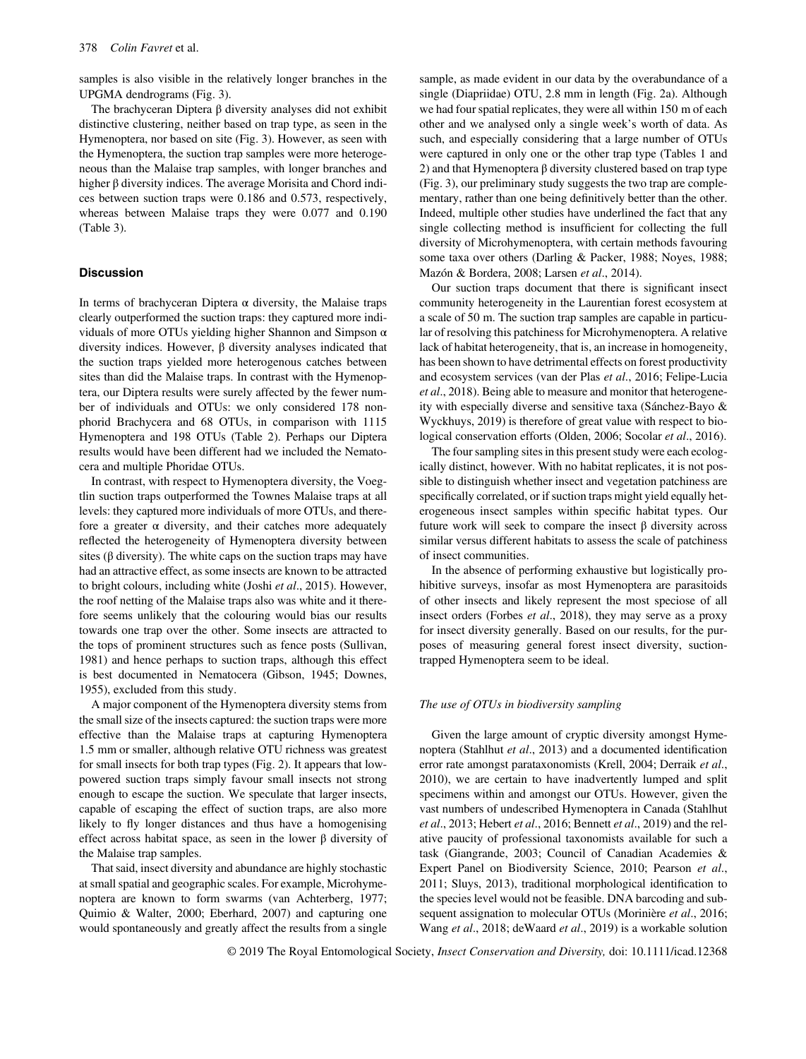samples is also visible in the relatively longer branches in the UPGMA dendrograms (Fig. 3).

The brachyceran Diptera β diversity analyses did not exhibit distinctive clustering, neither based on trap type, as seen in the Hymenoptera, nor based on site (Fig. 3). However, as seen with the Hymenoptera, the suction trap samples were more heterogeneous than the Malaise trap samples, with longer branches and higher β diversity indices. The average Morisita and Chord indices between suction traps were 0.186 and 0.573, respectively, whereas between Malaise traps they were 0.077 and 0.190 (Table 3).

## **Discussion**

In terms of brachyceran Diptera  $\alpha$  diversity, the Malaise traps clearly outperformed the suction traps: they captured more individuals of more OTUs yielding higher Shannon and Simpson α diversity indices. However, β diversity analyses indicated that the suction traps yielded more heterogenous catches between sites than did the Malaise traps. In contrast with the Hymenoptera, our Diptera results were surely affected by the fewer number of individuals and OTUs: we only considered 178 nonphorid Brachycera and 68 OTUs, in comparison with 1115 Hymenoptera and 198 OTUs (Table 2). Perhaps our Diptera results would have been different had we included the Nematocera and multiple Phoridae OTUs.

In contrast, with respect to Hymenoptera diversity, the Voegtlin suction traps outperformed the Townes Malaise traps at all levels: they captured more individuals of more OTUs, and therefore a greater  $\alpha$  diversity, and their catches more adequately reflected the heterogeneity of Hymenoptera diversity between sites ( $\beta$  diversity). The white caps on the suction traps may have had an attractive effect, as some insects are known to be attracted to bright colours, including white (Joshi et al., 2015). However, the roof netting of the Malaise traps also was white and it therefore seems unlikely that the colouring would bias our results towards one trap over the other. Some insects are attracted to the tops of prominent structures such as fence posts (Sullivan, 1981) and hence perhaps to suction traps, although this effect is best documented in Nematocera (Gibson, 1945; Downes, 1955), excluded from this study.

A major component of the Hymenoptera diversity stems from the small size of the insects captured: the suction traps were more effective than the Malaise traps at capturing Hymenoptera 1.5 mm or smaller, although relative OTU richness was greatest for small insects for both trap types (Fig. 2). It appears that lowpowered suction traps simply favour small insects not strong enough to escape the suction. We speculate that larger insects, capable of escaping the effect of suction traps, are also more likely to fly longer distances and thus have a homogenising effect across habitat space, as seen in the lower  $\beta$  diversity of the Malaise trap samples.

That said, insect diversity and abundance are highly stochastic at small spatial and geographic scales. For example, Microhymenoptera are known to form swarms (van Achterberg, 1977; Quimio & Walter, 2000; Eberhard, 2007) and capturing one would spontaneously and greatly affect the results from a single

sample, as made evident in our data by the overabundance of a single (Diapriidae) OTU, 2.8 mm in length (Fig. 2a). Although we had four spatial replicates, they were all within 150 m of each other and we analysed only a single week's worth of data. As such, and especially considering that a large number of OTUs were captured in only one or the other trap type (Tables 1 and 2) and that Hymenoptera β diversity clustered based on trap type (Fig. 3), our preliminary study suggests the two trap are complementary, rather than one being definitively better than the other. Indeed, multiple other studies have underlined the fact that any single collecting method is insufficient for collecting the full diversity of Microhymenoptera, with certain methods favouring some taxa over others (Darling & Packer, 1988; Noyes, 1988; Mazón & Bordera, 2008; Larsen et al., 2014).

Our suction traps document that there is significant insect community heterogeneity in the Laurentian forest ecosystem at a scale of 50 m. The suction trap samples are capable in particular of resolving this patchiness for Microhymenoptera. A relative lack of habitat heterogeneity, that is, an increase in homogeneity, has been shown to have detrimental effects on forest productivity and ecosystem services (van der Plas et al., 2016; Felipe-Lucia et al., 2018). Being able to measure and monitor that heterogeneity with especially diverse and sensitive taxa (Sánchez-Bayo & Wyckhuys, 2019) is therefore of great value with respect to biological conservation efforts (Olden, 2006; Socolar et al., 2016).

The four sampling sites in this present study were each ecologically distinct, however. With no habitat replicates, it is not possible to distinguish whether insect and vegetation patchiness are specifically correlated, or if suction traps might yield equally heterogeneous insect samples within specific habitat types. Our future work will seek to compare the insect β diversity across similar versus different habitats to assess the scale of patchiness of insect communities.

In the absence of performing exhaustive but logistically prohibitive surveys, insofar as most Hymenoptera are parasitoids of other insects and likely represent the most speciose of all insect orders (Forbes et al., 2018), they may serve as a proxy for insect diversity generally. Based on our results, for the purposes of measuring general forest insect diversity, suctiontrapped Hymenoptera seem to be ideal.

#### The use of OTUs in biodiversity sampling

Given the large amount of cryptic diversity amongst Hymenoptera (Stahlhut et al., 2013) and a documented identification error rate amongst parataxonomists (Krell, 2004; Derraik et al., 2010), we are certain to have inadvertently lumped and split specimens within and amongst our OTUs. However, given the vast numbers of undescribed Hymenoptera in Canada (Stahlhut et al., 2013; Hebert et al., 2016; Bennett et al., 2019) and the relative paucity of professional taxonomists available for such a task (Giangrande, 2003; Council of Canadian Academies & Expert Panel on Biodiversity Science, 2010; Pearson et al., 2011; Sluys, 2013), traditional morphological identification to the species level would not be feasible. DNA barcoding and subsequent assignation to molecular OTUs (Morinière et al., 2016; Wang et al., 2018; deWaard et al., 2019) is a workable solution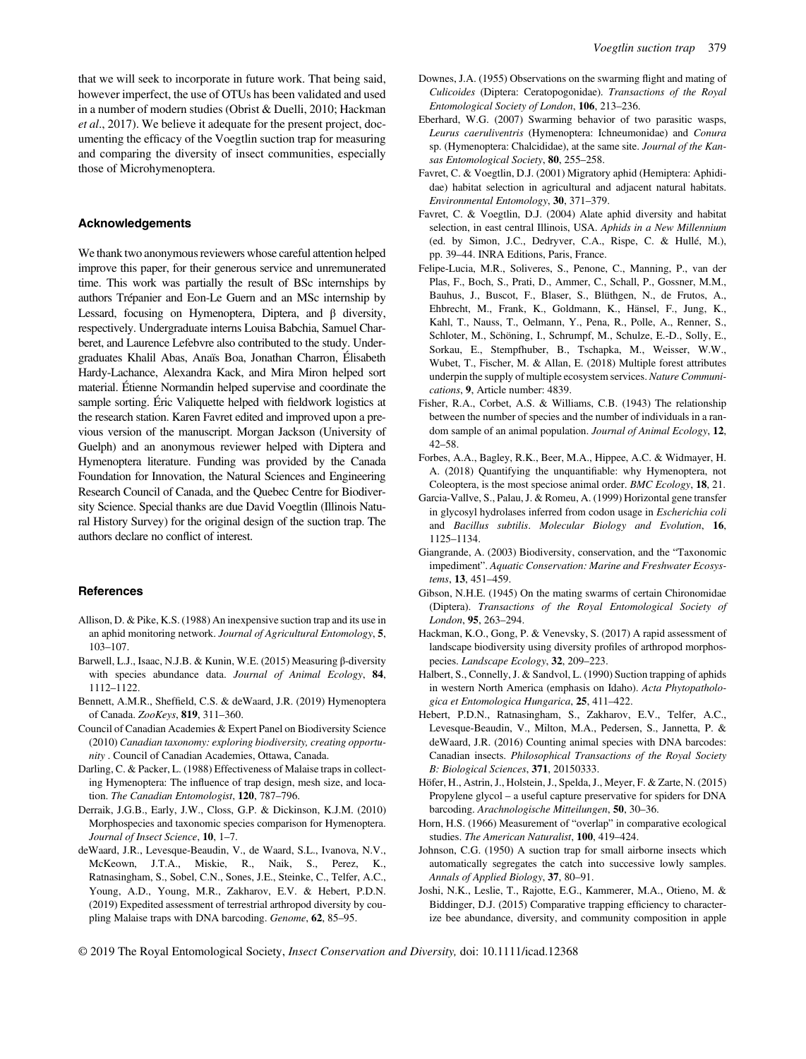that we will seek to incorporate in future work. That being said, however imperfect, the use of OTUs has been validated and used in a number of modern studies (Obrist & Duelli, 2010; Hackman et al., 2017). We believe it adequate for the present project, documenting the efficacy of the Voegtlin suction trap for measuring and comparing the diversity of insect communities, especially those of Microhymenoptera.

## Acknowledgements

We thank two anonymous reviewers whose careful attention helped improve this paper, for their generous service and unremunerated time. This work was partially the result of BSc internships by authors Trépanier and Eon-Le Guern and an MSc internship by Lessard, focusing on Hymenoptera, Diptera, and β diversity, respectively. Undergraduate interns Louisa Babchia, Samuel Charberet, and Laurence Lefebvre also contributed to the study. Undergraduates Khalil Abas, Anaïs Boa, Jonathan Charron, Élisabeth Hardy-Lachance, Alexandra Kack, and Mira Miron helped sort material. Étienne Normandin helped supervise and coordinate the sample sorting. Éric Valiquette helped with fieldwork logistics at the research station. Karen Favret edited and improved upon a previous version of the manuscript. Morgan Jackson (University of Guelph) and an anonymous reviewer helped with Diptera and Hymenoptera literature. Funding was provided by the Canada Foundation for Innovation, the Natural Sciences and Engineering Research Council of Canada, and the Quebec Centre for Biodiversity Science. Special thanks are due David Voegtlin (Illinois Natural History Survey) for the original design of the suction trap. The authors declare no conflict of interest.

#### **References**

- Allison, D. & Pike, K.S. (1988) An inexpensive suction trap and its use in an aphid monitoring network. Journal of Agricultural Entomology, 5, 103–107.
- Barwell, L.J., Isaac, N.J.B. & Kunin, W.E. (2015) Measuring β-diversity with species abundance data. Journal of Animal Ecology, 84, 1112–1122.
- Bennett, A.M.R., Sheffield, C.S. & deWaard, J.R. (2019) Hymenoptera of Canada. ZooKeys, 819, 311–360.
- Council of Canadian Academies & Expert Panel on Biodiversity Science (2010) Canadian taxonomy: exploring biodiversity, creating opportunity . Council of Canadian Academies, Ottawa, Canada.
- Darling, C. & Packer, L. (1988) Effectiveness of Malaise traps in collecting Hymenoptera: The influence of trap design, mesh size, and location. The Canadian Entomologist, 120, 787–796.
- Derraik, J.G.B., Early, J.W., Closs, G.P. & Dickinson, K.J.M. (2010) Morphospecies and taxonomic species comparison for Hymenoptera. Journal of Insect Science, 10, 1–7.
- deWaard, J.R., Levesque-Beaudin, V., de Waard, S.L., Ivanova, N.V., McKeown, J.T.A., Miskie, R., Naik, S., Perez, K., Ratnasingham, S., Sobel, C.N., Sones, J.E., Steinke, C., Telfer, A.C., Young, A.D., Young, M.R., Zakharov, E.V. & Hebert, P.D.N. (2019) Expedited assessment of terrestrial arthropod diversity by coupling Malaise traps with DNA barcoding. Genome, 62, 85–95.
- Downes, J.A. (1955) Observations on the swarming flight and mating of Culicoides (Diptera: Ceratopogonidae). Transactions of the Royal Entomological Society of London, 106, 213–236.
- Eberhard, W.G. (2007) Swarming behavior of two parasitic wasps, Leurus caeruliventris (Hymenoptera: Ichneumonidae) and Conura sp. (Hymenoptera: Chalcididae), at the same site. Journal of the Kansas Entomological Society, 80, 255–258.
- Favret, C. & Voegtlin, D.J. (2001) Migratory aphid (Hemiptera: Aphididae) habitat selection in agricultural and adjacent natural habitats. Environmental Entomology, 30, 371–379.
- Favret, C. & Voegtlin, D.J. (2004) Alate aphid diversity and habitat selection, in east central Illinois, USA. Aphids in a New Millennium (ed. by Simon, J.C., Dedryver, C.A., Rispe, C. & Hullé, M.), pp. 39–44. INRA Editions, Paris, France.
- Felipe-Lucia, M.R., Soliveres, S., Penone, C., Manning, P., van der Plas, F., Boch, S., Prati, D., Ammer, C., Schall, P., Gossner, M.M., Bauhus, J., Buscot, F., Blaser, S., Blüthgen, N., de Frutos, A., Ehbrecht, M., Frank, K., Goldmann, K., Hänsel, F., Jung, K., Kahl, T., Nauss, T., Oelmann, Y., Pena, R., Polle, A., Renner, S., Schloter, M., Schöning, I., Schrumpf, M., Schulze, E.-D., Solly, E., Sorkau, E., Stempfhuber, B., Tschapka, M., Weisser, W.W., Wubet, T., Fischer, M. & Allan, E. (2018) Multiple forest attributes underpin the supply of multiple ecosystem services. Nature Communications, 9, Article number: 4839.
- Fisher, R.A., Corbet, A.S. & Williams, C.B. (1943) The relationship between the number of species and the number of individuals in a random sample of an animal population. Journal of Animal Ecology, 12, 42–58.
- Forbes, A.A., Bagley, R.K., Beer, M.A., Hippee, A.C. & Widmayer, H. A. (2018) Quantifying the unquantifiable: why Hymenoptera, not Coleoptera, is the most speciose animal order. BMC Ecology, 18, 21.
- Garcia-Vallve, S., Palau, J. & Romeu, A. (1999) Horizontal gene transfer in glycosyl hydrolases inferred from codon usage in Escherichia coli and Bacillus subtilis. Molecular Biology and Evolution, 16, 1125–1134.
- Giangrande, A. (2003) Biodiversity, conservation, and the "Taxonomic impediment". Aquatic Conservation: Marine and Freshwater Ecosystems, 13, 451–459.
- Gibson, N.H.E. (1945) On the mating swarms of certain Chironomidae (Diptera). Transactions of the Royal Entomological Society of London, 95, 263–294.
- Hackman, K.O., Gong, P. & Venevsky, S. (2017) A rapid assessment of landscape biodiversity using diversity profiles of arthropod morphospecies. Landscape Ecology, 32, 209–223.
- Halbert, S., Connelly, J. & Sandvol, L. (1990) Suction trapping of aphids in western North America (emphasis on Idaho). Acta Phytopathologica et Entomologica Hungarica, 25, 411–422.
- Hebert, P.D.N., Ratnasingham, S., Zakharov, E.V., Telfer, A.C., Levesque-Beaudin, V., Milton, M.A., Pedersen, S., Jannetta, P. & deWaard, J.R. (2016) Counting animal species with DNA barcodes: Canadian insects. Philosophical Transactions of the Royal Society B: Biological Sciences, 371, 20150333.
- Höfer, H., Astrin, J., Holstein, J., Spelda, J., Meyer, F. & Zarte, N. (2015) Propylene glycol – a useful capture preservative for spiders for DNA barcoding. Arachnologische Mitteilungen, 50, 30–36.
- Horn, H.S. (1966) Measurement of "overlap" in comparative ecological studies. The American Naturalist, 100, 419–424.
- Johnson, C.G. (1950) A suction trap for small airborne insects which automatically segregates the catch into successive lowly samples. Annals of Applied Biology, 37, 80–91.
- Joshi, N.K., Leslie, T., Rajotte, E.G., Kammerer, M.A., Otieno, M. & Biddinger, D.J. (2015) Comparative trapping efficiency to characterize bee abundance, diversity, and community composition in apple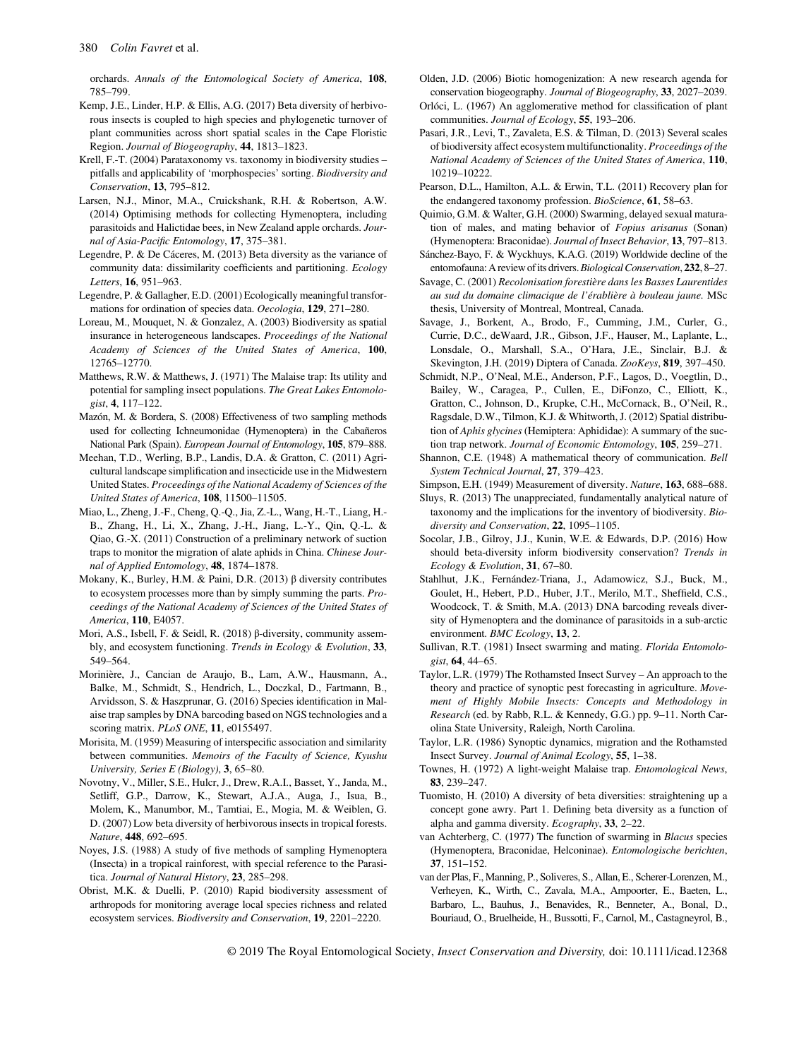orchards. Annals of the Entomological Society of America, 108, 785–799.

- Kemp, J.E., Linder, H.P. & Ellis, A.G. (2017) Beta diversity of herbivorous insects is coupled to high species and phylogenetic turnover of plant communities across short spatial scales in the Cape Floristic Region. Journal of Biogeography, 44, 1813–1823.
- Krell, F.-T. (2004) Parataxonomy vs. taxonomy in biodiversity studies pitfalls and applicability of 'morphospecies' sorting. Biodiversity and Conservation, 13, 795–812.
- Larsen, N.J., Minor, M.A., Cruickshank, R.H. & Robertson, A.W. (2014) Optimising methods for collecting Hymenoptera, including parasitoids and Halictidae bees, in New Zealand apple orchards. Journal of Asia-Pacific Entomology, 17, 375–381.
- Legendre, P. & De Cáceres, M. (2013) Beta diversity as the variance of community data: dissimilarity coefficients and partitioning. Ecology Letters, 16, 951–963.
- Legendre, P. & Gallagher, E.D. (2001) Ecologically meaningful transformations for ordination of species data. Oecologia, 129, 271–280.
- Loreau, M., Mouquet, N. & Gonzalez, A. (2003) Biodiversity as spatial insurance in heterogeneous landscapes. Proceedings of the National Academy of Sciences of the United States of America, 100, 12765–12770.
- Matthews, R.W. & Matthews, J. (1971) The Malaise trap: Its utility and potential for sampling insect populations. The Great Lakes Entomologist, 4, 117–122.
- Mazón, M. & Bordera, S. (2008) Effectiveness of two sampling methods used for collecting Ichneumonidae (Hymenoptera) in the Cabañeros National Park (Spain). European Journal of Entomology, 105, 879–888.
- Meehan, T.D., Werling, B.P., Landis, D.A. & Gratton, C. (2011) Agricultural landscape simplification and insecticide use in the Midwestern United States. Proceedings of the National Academy of Sciences of the United States of America, 108, 11500–11505.
- Miao, L., Zheng, J.-F., Cheng, Q.-Q., Jia, Z.-L., Wang, H.-T., Liang, H.- B., Zhang, H., Li, X., Zhang, J.-H., Jiang, L.-Y., Qin, Q.-L. & Qiao, G.-X. (2011) Construction of a preliminary network of suction traps to monitor the migration of alate aphids in China. Chinese Journal of Applied Entomology, 48, 1874–1878.
- Mokany, K., Burley, H.M. & Paini, D.R. (2013) β diversity contributes to ecosystem processes more than by simply summing the parts. Proceedings of the National Academy of Sciences of the United States of America, 110, E4057.
- Mori, A.S., Isbell, F. & Seidl, R. (2018) β-diversity, community assembly, and ecosystem functioning. Trends in Ecology & Evolution, 33, 549–564.
- Morinière, J., Cancian de Araujo, B., Lam, A.W., Hausmann, A., Balke, M., Schmidt, S., Hendrich, L., Doczkal, D., Fartmann, B., Arvidsson, S. & Haszprunar, G. (2016) Species identification in Malaise trap samples by DNA barcoding based on NGS technologies and a scoring matrix. PLoS ONE, 11, e0155497.
- Morisita, M. (1959) Measuring of interspecific association and similarity between communities. Memoirs of the Faculty of Science, Kyushu University, Series E (Biology), 3, 65–80.
- Novotny, V., Miller, S.E., Hulcr, J., Drew, R.A.I., Basset, Y., Janda, M., Setliff, G.P., Darrow, K., Stewart, A.J.A., Auga, J., Isua, B., Molem, K., Manumbor, M., Tamtiai, E., Mogia, M. & Weiblen, G. D. (2007) Low beta diversity of herbivorous insects in tropical forests. Nature, 448, 692–695.
- Noyes, J.S. (1988) A study of five methods of sampling Hymenoptera (Insecta) in a tropical rainforest, with special reference to the Parasitica. Journal of Natural History, 23, 285–298.
- Obrist, M.K. & Duelli, P. (2010) Rapid biodiversity assessment of arthropods for monitoring average local species richness and related ecosystem services. Biodiversity and Conservation, 19, 2201–2220.
- Olden, J.D. (2006) Biotic homogenization: A new research agenda for conservation biogeography. Journal of Biogeography, 33, 2027–2039.
- Orlóci, L. (1967) An agglomerative method for classification of plant communities. Journal of Ecology, 55, 193–206.
- Pasari, J.R., Levi, T., Zavaleta, E.S. & Tilman, D. (2013) Several scales of biodiversity affect ecosystem multifunctionality. Proceedings of the National Academy of Sciences of the United States of America, 110, 10219–10222.
- Pearson, D.L., Hamilton, A.L. & Erwin, T.L. (2011) Recovery plan for the endangered taxonomy profession. BioScience, 61, 58–63.
- Quimio, G.M. & Walter, G.H. (2000) Swarming, delayed sexual maturation of males, and mating behavior of Fopius arisanus (Sonan) (Hymenoptera: Braconidae). Journal of Insect Behavior, 13, 797–813.
- Sánchez-Bayo, F. & Wyckhuys, K.A.G. (2019) Worldwide decline of the entomofauna: A review of its drivers.Biological Conservation, 232, 8–27.
- Savage, C. (2001) Recolonisation forestière dans les Basses Laurentides au sud du domaine climacique de l'érablière à bouleau jaune. MSc thesis, University of Montreal, Montreal, Canada.
- Savage, J., Borkent, A., Brodo, F., Cumming, J.M., Curler, G., Currie, D.C., deWaard, J.R., Gibson, J.F., Hauser, M., Laplante, L., Lonsdale, O., Marshall, S.A., O'Hara, J.E., Sinclair, B.J. & Skevington, J.H. (2019) Diptera of Canada. ZooKeys, 819, 397-450.
- Schmidt, N.P., O'Neal, M.E., Anderson, P.F., Lagos, D., Voegtlin, D., Bailey, W., Caragea, P., Cullen, E., DiFonzo, C., Elliott, K., Gratton, C., Johnson, D., Krupke, C.H., McCornack, B., O'Neil, R., Ragsdale, D.W., Tilmon, K.J. & Whitworth, J. (2012) Spatial distribution of Aphis glycines (Hemiptera: Aphididae): A summary of the suction trap network. Journal of Economic Entomology, 105, 259–271.
- Shannon, C.E. (1948) A mathematical theory of communication. Bell System Technical Journal, 27, 379–423.
- Simpson, E.H. (1949) Measurement of diversity. Nature, 163, 688–688.
- Sluys, R. (2013) The unappreciated, fundamentally analytical nature of taxonomy and the implications for the inventory of biodiversity. Biodiversity and Conservation, 22, 1095–1105.
- Socolar, J.B., Gilroy, J.J., Kunin, W.E. & Edwards, D.P. (2016) How should beta-diversity inform biodiversity conservation? Trends in Ecology & Evolution, 31, 67–80.
- Stahlhut, J.K., Fernández-Triana, J., Adamowicz, S.J., Buck, M., Goulet, H., Hebert, P.D., Huber, J.T., Merilo, M.T., Sheffield, C.S., Woodcock, T. & Smith, M.A. (2013) DNA barcoding reveals diversity of Hymenoptera and the dominance of parasitoids in a sub-arctic environment. BMC Ecology, 13, 2.
- Sullivan, R.T. (1981) Insect swarming and mating. Florida Entomologist, 64, 44–65.
- Taylor, L.R. (1979) The Rothamsted Insect Survey An approach to the theory and practice of synoptic pest forecasting in agriculture. Movement of Highly Mobile Insects: Concepts and Methodology in Research (ed. by Rabb, R.L. & Kennedy, G.G.) pp. 9–11. North Carolina State University, Raleigh, North Carolina.
- Taylor, L.R. (1986) Synoptic dynamics, migration and the Rothamsted Insect Survey. Journal of Animal Ecology, 55, 1–38.
- Townes, H. (1972) A light-weight Malaise trap. Entomological News, 83, 239–247.
- Tuomisto, H. (2010) A diversity of beta diversities: straightening up a concept gone awry. Part 1. Defining beta diversity as a function of alpha and gamma diversity. Ecography, 33, 2–22.
- van Achterberg, C. (1977) The function of swarming in Blacus species (Hymenoptera, Braconidae, Helconinae). Entomologische berichten, 37, 151–152.
- van der Plas, F., Manning, P., Soliveres, S., Allan, E., Scherer-Lorenzen, M., Verheyen, K., Wirth, C., Zavala, M.A., Ampoorter, E., Baeten, L., Barbaro, L., Bauhus, J., Benavides, R., Benneter, A., Bonal, D., Bouriaud, O., Bruelheide, H., Bussotti, F., Carnol, M., Castagneyrol, B.,